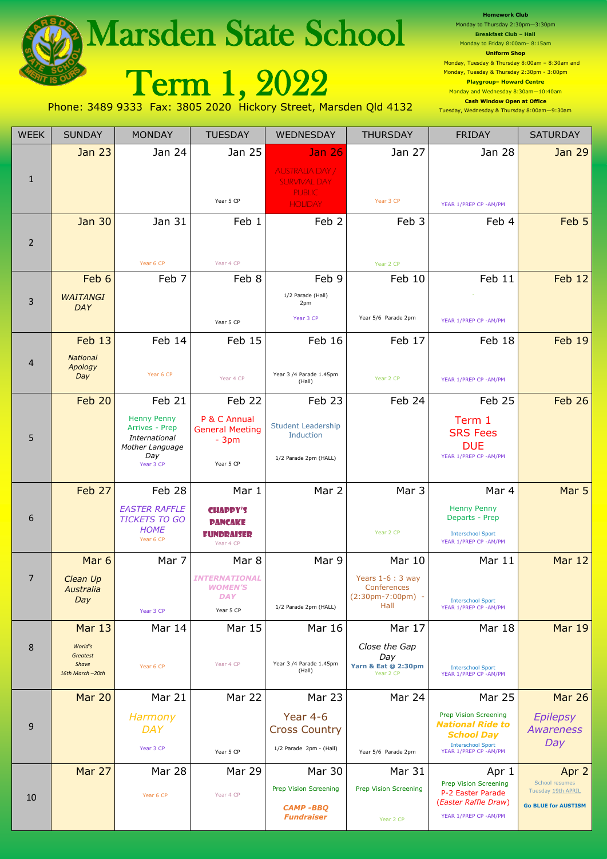|                                                                                                                 | <b>Marsden State School</b>         | <b>HOMEWOLK CIUD</b><br>Monday to Thursday 2:30pm-3:30pm<br><b>Breakfast Club - Hall</b><br>Monday to Friday 8:00am-8:15am<br><b>Uniform Shop</b> |                                        |                                                                                 |                                             |                                                                                                                                                                                                             |                                      |  |  |  |  |
|-----------------------------------------------------------------------------------------------------------------|-------------------------------------|---------------------------------------------------------------------------------------------------------------------------------------------------|----------------------------------------|---------------------------------------------------------------------------------|---------------------------------------------|-------------------------------------------------------------------------------------------------------------------------------------------------------------------------------------------------------------|--------------------------------------|--|--|--|--|
|                                                                                                                 |                                     |                                                                                                                                                   | Term 1, 2022                           |                                                                                 |                                             | Monday, Tuesday & Thursday 8:00am - 8:30am and<br>Monday, Tuesday & Thursday 2:30pm - 3:00pm<br><b>Playgroup- Howard Centre</b><br>Monday and Wednesday 8:30am-10:40am<br><b>Cash Window Open at Office</b> |                                      |  |  |  |  |
| Phone: 3489 9333 Fax: 3805 2020 Hickory Street, Marsden Qld 4132<br>Tuesday, Wednesday & Thursday 8:00am-9:30am |                                     |                                                                                                                                                   |                                        |                                                                                 |                                             |                                                                                                                                                                                                             |                                      |  |  |  |  |
| <b>WEEK</b>                                                                                                     | <b>SUNDAY</b>                       | <b>MONDAY</b>                                                                                                                                     | <b>TUESDAY</b>                         | WEDNESDAY                                                                       | <b>THURSDAY</b>                             | <b>FRIDAY</b>                                                                                                                                                                                               | <b>SATURDAY</b>                      |  |  |  |  |
|                                                                                                                 | <b>Jan 23</b>                       | Jan 24                                                                                                                                            | Jan 25                                 | Jan 26                                                                          | Jan 27                                      | Jan 28                                                                                                                                                                                                      | Jan 29                               |  |  |  |  |
| $\mathbf{1}$                                                                                                    |                                     |                                                                                                                                                   | Year 5 CP                              | <b>AUSTRALIA DAY/</b><br><b>SURVIVAL DAY</b><br><b>PUBLIC</b><br><b>HOLIDAY</b> | Year 3 CP                                   | YEAR 1/PREP CP - AM/PM                                                                                                                                                                                      |                                      |  |  |  |  |
|                                                                                                                 | <b>Jan 30</b>                       | Jan 31                                                                                                                                            | Feb 1                                  | Feb <sub>2</sub>                                                                | Feb 3                                       | Feb 4                                                                                                                                                                                                       | Feb 5                                |  |  |  |  |
| $\overline{2}$                                                                                                  |                                     |                                                                                                                                                   |                                        |                                                                                 |                                             |                                                                                                                                                                                                             |                                      |  |  |  |  |
|                                                                                                                 |                                     | Year 6 CP                                                                                                                                         | Year 4 CP                              |                                                                                 | Year 2 CP                                   |                                                                                                                                                                                                             |                                      |  |  |  |  |
|                                                                                                                 | Feb 6                               | Feb 7                                                                                                                                             | Feb 8                                  | Feb 9                                                                           | Feb 10                                      | Feb 11                                                                                                                                                                                                      | <b>Feb 12</b>                        |  |  |  |  |
| 3                                                                                                               | <b>WAITANGI</b>                     |                                                                                                                                                   |                                        | 1/2 Parade (Hall)<br>2pm                                                        |                                             |                                                                                                                                                                                                             |                                      |  |  |  |  |
|                                                                                                                 | DAY                                 |                                                                                                                                                   | Year 5 CP                              | Year 3 CP                                                                       | Year 5/6 Parade 2pm                         | YEAR 1/PREP CP - AM/PM                                                                                                                                                                                      |                                      |  |  |  |  |
|                                                                                                                 | Feb 13                              | Feb 14                                                                                                                                            | Feb 15                                 | Feb 16                                                                          | Feb 17                                      | Feb 18                                                                                                                                                                                                      | <b>Feb 19</b>                        |  |  |  |  |
| 4                                                                                                               | <b>National</b><br>Apology          |                                                                                                                                                   |                                        |                                                                                 |                                             |                                                                                                                                                                                                             |                                      |  |  |  |  |
|                                                                                                                 | Day                                 | Year 6 CP                                                                                                                                         | Year 4 CP                              | Year 3 /4 Parade 1.45pm<br>(Hall)                                               | Year 2 CP                                   | YEAR 1/PREP CP - AM/PM                                                                                                                                                                                      |                                      |  |  |  |  |
|                                                                                                                 | Feb 20                              | Feb 21                                                                                                                                            | Feb 22                                 | Feb 23                                                                          | Feb 24                                      | Feb 25                                                                                                                                                                                                      | <b>Feb 26</b>                        |  |  |  |  |
|                                                                                                                 |                                     | <b>Henny Penny</b><br>Arrives - Prep                                                                                                              | P & C Annual<br><b>General Meeting</b> | <b>Student Leadership</b>                                                       |                                             | Term 1<br><b>SRS Fees</b>                                                                                                                                                                                   |                                      |  |  |  |  |
| 5                                                                                                               |                                     | International<br>Mother Language                                                                                                                  | $-3pm$                                 | Induction                                                                       |                                             | <b>DUE</b>                                                                                                                                                                                                  |                                      |  |  |  |  |
|                                                                                                                 |                                     | Day<br>Year 3 CP                                                                                                                                  | Year 5 CP                              | 1/2 Parade 2pm (HALL)                                                           |                                             | YEAR 1/PREP CP - AM/PM                                                                                                                                                                                      |                                      |  |  |  |  |
|                                                                                                                 | Feb 27                              | Feb 28                                                                                                                                            | Mar 1                                  | Mar 2                                                                           | Mar 3                                       | Mar 4                                                                                                                                                                                                       | Mar 5                                |  |  |  |  |
| 6                                                                                                               |                                     | <b>EASTER RAFFLE</b>                                                                                                                              | <b>CHAPPY'S</b>                        |                                                                                 |                                             | <b>Henny Penny</b><br>Departs - Prep                                                                                                                                                                        |                                      |  |  |  |  |
|                                                                                                                 |                                     | <b>TICKETS TO GO</b><br><b>HOME</b><br>Year 6 CP                                                                                                  | <b>PANCAKE</b><br><b>FUNDRAISER</b>    |                                                                                 | Year 2 CP                                   | <b>Interschool Sport</b>                                                                                                                                                                                    |                                      |  |  |  |  |
|                                                                                                                 | Mar <sub>6</sub>                    | Mar 7                                                                                                                                             | Year 4 CP<br>Mar 8                     | Mar 9                                                                           | Mar 10                                      | YEAR 1/PREP CP - AM/PM<br>Mar 11                                                                                                                                                                            | <b>Mar 12</b>                        |  |  |  |  |
| $\overline{7}$                                                                                                  | Clean Up                            |                                                                                                                                                   | <b>INTERNATIONAL</b>                   |                                                                                 | Years $1-6:3$ way                           |                                                                                                                                                                                                             |                                      |  |  |  |  |
|                                                                                                                 | Australia<br>Day                    |                                                                                                                                                   | <b>WOMEN'S</b><br><b>DAY</b>           |                                                                                 | Conferences<br>$(2:30pm-7:00pm)$ -          | <b>Interschool Sport</b>                                                                                                                                                                                    |                                      |  |  |  |  |
|                                                                                                                 |                                     | Year 3 CP                                                                                                                                         | Year 5 CP                              | 1/2 Parade 2pm (HALL)                                                           | Hall                                        | YEAR 1/PREP CP - AM/PM                                                                                                                                                                                      |                                      |  |  |  |  |
|                                                                                                                 | <b>Mar 13</b>                       | Mar 14                                                                                                                                            | <b>Mar 15</b>                          | Mar 16                                                                          | Mar 17                                      | <b>Mar 18</b>                                                                                                                                                                                               | <b>Mar 19</b>                        |  |  |  |  |
| 8                                                                                                               | World's<br><b>Greatest</b><br>Shave |                                                                                                                                                   | Year 4 CP                              | Year 3 /4 Parade 1.45pm                                                         | Close the Gap<br>Day                        |                                                                                                                                                                                                             |                                      |  |  |  |  |
|                                                                                                                 | 16th March-20th                     | Year 6 CP                                                                                                                                         |                                        | (Hall)                                                                          | <b>Yarn &amp; Eat @ 2:30pm</b><br>Year 2 CP | <b>Interschool Sport</b><br>YEAR 1/PREP CP - AM/PM                                                                                                                                                          |                                      |  |  |  |  |
|                                                                                                                 | <b>Mar 20</b>                       | Mar 21                                                                                                                                            | Mar 22                                 | <b>Mar 23</b>                                                                   | Mar 24                                      | <b>Mar 25</b>                                                                                                                                                                                               | <b>Mar 26</b>                        |  |  |  |  |
| 9                                                                                                               |                                     | Harmony<br><b>DAY</b>                                                                                                                             |                                        | Year 4-6<br><b>Cross Country</b>                                                |                                             | <b>Prep Vision Screening</b><br><b>National Ride to</b>                                                                                                                                                     | <b>Epilepsy</b><br><b>Awareness</b>  |  |  |  |  |
|                                                                                                                 |                                     | Year 3 CP                                                                                                                                         | Year 5 CP                              | 1/2 Parade 2pm - (Hall)                                                         | Year 5/6 Parade 2pm                         | <b>School Day</b><br><b>Interschool Sport</b><br>YEAR 1/PREP CP - AM/PM                                                                                                                                     | Day                                  |  |  |  |  |
|                                                                                                                 | Mar 27                              | Mar 28                                                                                                                                            | Mar 29                                 | Mar 30                                                                          | <b>Mar 31</b>                               | Apr 1                                                                                                                                                                                                       | Apr 2                                |  |  |  |  |
|                                                                                                                 |                                     |                                                                                                                                                   |                                        | <b>Prep Vision Screening</b>                                                    | <b>Prep Vision Screening</b>                | <b>Prep Vision Screening</b><br>P-2 Easter Parade                                                                                                                                                           | School resumes<br>Tuesday 19th APRIL |  |  |  |  |
| 10                                                                                                              |                                     | Year 6 CP                                                                                                                                         | Year 4 CP                              | <b>CAMP-BBO</b>                                                                 |                                             | (Easter Raffle Draw)                                                                                                                                                                                        | <b>Go BLUE for AUSTISM</b>           |  |  |  |  |
|                                                                                                                 |                                     |                                                                                                                                                   |                                        | <b>Fundraiser</b>                                                               | Year 2 CP                                   | YEAR 1/PREP CP - AM/PM                                                                                                                                                                                      |                                      |  |  |  |  |

**Homework Club**